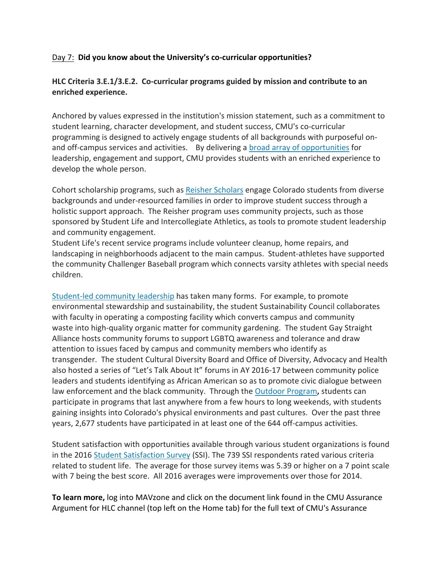## Day 7: **Did you know about the University's co‐curricular opportunities?**

## **HLC Criteria 3.E.1/3.E.2. Co‐curricular programs guided by mission and contribute to an enriched experience.**

Anchored by values expressed in the institution's mission statement, such as a commitment to student learning, character development, and student success, CMU's co-curricular programming is designed to actively engage students of all backgrounds with purposeful on‐ and off-campus services and activities. By delivering a broad array of opportunities for leadership, engagement and support, CMU provides students with an enriched experience to develop the whole person.

Cohort scholarship programs, such as Reisher Scholars engage Colorado students from diverse backgrounds and under‐resourced families in order to improve student success through a holistic support approach. The Reisher program uses community projects, such as those sponsored by Student Life and Intercollegiate Athletics, as tools to promote student leadership and community engagement.

Student Life's recent service programs include volunteer cleanup, home repairs, and landscaping in neighborhoods adjacent to the main campus. Student‐athletes have supported the community Challenger Baseball program which connects varsity athletes with special needs children.

Student‐led community leadership has taken many forms. For example, to promote environmental stewardship and sustainability, the student Sustainability Council collaborates with faculty in operating a composting facility which converts campus and community waste into high-quality organic matter for community gardening. The student Gay Straight Alliance hosts community forums to support LGBTQ awareness and tolerance and draw attention to issues faced by campus and community members who identify as transgender. The student Cultural Diversity Board and Office of Diversity, Advocacy and Health also hosted a series of "Let's Talk About It" forums in AY 2016‐17 between community police leaders and students identifying as African American so as to promote civic dialogue between law enforcement and the black community. Through the Outdoor Program**,** students can participate in programs that last anywhere from a few hours to long weekends, with students gaining insights into Colorado's physical environments and past cultures. Over the past three years, 2,677 students have participated in at least one of the 644 off‐campus activities.

Student satisfaction with opportunities available through various student organizations is found in the 2016 Student Satisfaction Survey (SSI). The 739 SSI respondents rated various criteria related to student life. The average for those survey items was 5.39 or higher on a 7 point scale with 7 being the best score. All 2016 averages were improvements over those for 2014.

**To learn more,** log into MAVzone and click on the document link found in the CMU Assurance Argument for HLC channel (top left on the Home tab) for the full text of CMU's Assurance